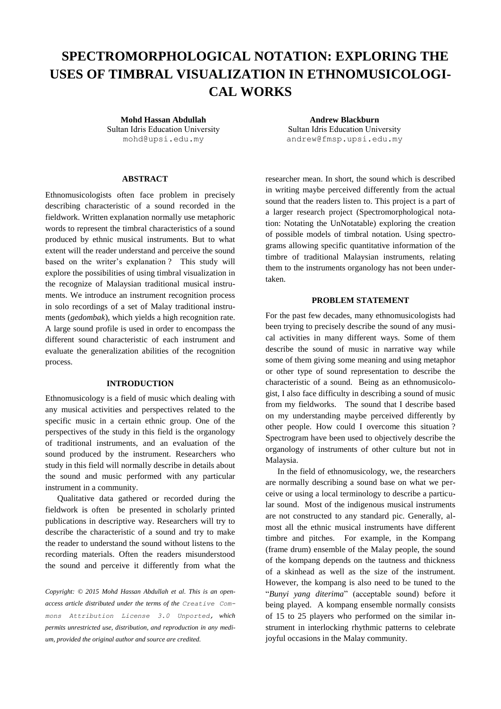# **SPECTROMORPHOLOGICAL NOTATION: EXPLORING THE USES OF TIMBRAL VISUALIZATION IN ETHNOMUSICOLOGI-CAL WORKS**

**Mohd Hassan Abdullah** Sultan Idris Education University

## **ABSTRACT**

Ethnomusicologists often face problem in precisely describing characteristic of a sound recorded in the fieldwork. Written explanation normally use metaphoric words to represent the timbral characteristics of a sound produced by ethnic musical instruments. But to what extent will the reader understand and perceive the sound based on the writer's explanation ? This study will explore the possibilities of using timbral visualization in the recognize of Malaysian traditional musical instruments. We introduce an instrument recognition process in solo recordings of a set of Malay traditional instruments (*gedombak*), which yields a high recognition rate. A large sound profile is used in order to encompass the different sound characteristic of each instrument and evaluate the generalization abilities of the recognition process.

## **INTRODUCTION**

Ethnomusicology is a field of music which dealing with any musical activities and perspectives related to the specific music in a certain ethnic group. One of the perspectives of the study in this field is the organology of traditional instruments, and an evaluation of the sound produced by the instrument. Researchers who study in this field will normally describe in details about the sound and music performed with any particular instrument in a community.

Qualitative data gathered or recorded during the fieldwork is often be presented in scholarly printed publications in descriptive way. Researchers will try to describe the characteristic of a sound and try to make the reader to understand the sound without listens to the recording materials. Often the readers misunderstood the sound and perceive it differently from what the

*Copyright: © 2015 Mohd Hassan Abdullah et al. This is an openaccess article distributed under the terms of the [Creative Com](http://creativecommons.org/licenses/by/3.0/)[mons Attribution License 3.0 Unported,](http://creativecommons.org/licenses/by/3.0/) which permits unrestricted use, distribution, and reproduction in any medium, provided the original author and source are credited.*

**Andrew Blackburn** Sultan Idris Education University [mohd@upsi.edu.my](mailto:mohd@upsi.edu.my) [andrew@fmsp.upsi.edu.my](mailto:andrew@fmsp.upsi.edu.my)

> researcher mean. In short, the sound which is described in writing maybe perceived differently from the actual sound that the readers listen to. This project is a part of a larger research project (Spectromorphological notation: Notating the UnNotatable) exploring the creation of possible models of timbral notation. Using spectrograms allowing specific quantitative information of the timbre of traditional Malaysian instruments, relating them to the instruments organology has not been undertaken.

## **PROBLEM STATEMENT**

For the past few decades, many ethnomusicologists had been trying to precisely describe the sound of any musical activities in many different ways. Some of them describe the sound of music in narrative way while some of them giving some meaning and using metaphor or other type of sound representation to describe the characteristic of a sound. Being as an ethnomusicologist, I also face difficulty in describing a sound of music from my fieldworks. The sound that I describe based on my understanding maybe perceived differently by other people. How could I overcome this situation ? Spectrogram have been used to objectively describe the organology of instruments of other culture but not in Malaysia.

In the field of ethnomusicology, we, the researchers are normally describing a sound base on what we perceive or using a local terminology to describe a particular sound. Most of the indigenous musical instruments are not constructed to any standard pic. Generally, almost all the ethnic musical instruments have different timbre and pitches. For example, in the Kompang (frame drum) ensemble of the Malay people, the sound of the kompang depends on the tautness and thickness of a skinhead as well as the size of the instrument. However, the kompang is also need to be tuned to the "*Bunyi yang diterima*" (acceptable sound) before it being played. A kompang ensemble normally consists of 15 to 25 players who performed on the similar instrument in interlocking rhythmic patterns to celebrate joyful occasions in the Malay community.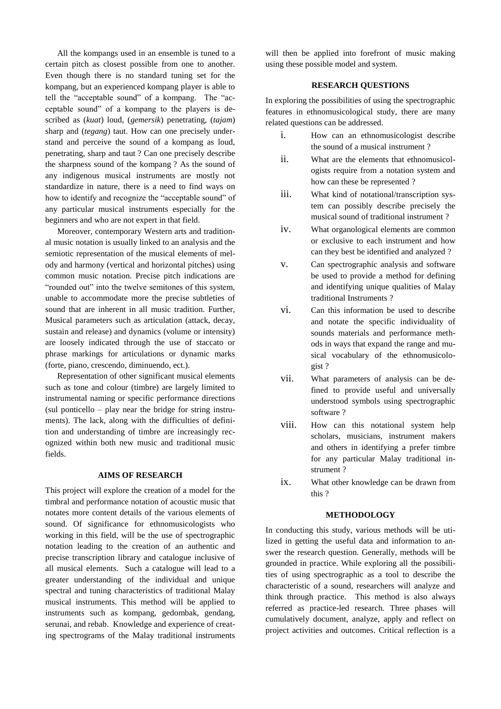All the kompangs used in an ensemble is tuned to a certain pitch as closest possible from one to another. Even though there is no standard tuning set for the kompang, but an experienced kompang player is able to tell the "acceptable sound" of a kompang. The "acceptable sound" of a kompang to the players is described as (*kuat*) loud, (*gemersik*) penetrating, (*tajam*) sharp and (*tegang*) taut. How can one precisely understand and perceive the sound of a kompang as loud, penetrating, sharp and taut ? Can one precisely describe the sharpness sound of the kompang ? As the sound of any indigenous musical instruments are mostly not standardize in nature, there is a need to find ways on how to identify and recognize the "acceptable sound" of any particular musical instruments especially for the beginners and who are not expert in that field.

Moreover, contemporary Western arts and traditional music notation is usually linked to an analysis and the semiotic representation of the musical elements of melody and harmony (vertical and horizontal pitches) using common music notation. Precise pitch indications are "rounded out" into the twelve semitones of this system, unable to accommodate more the precise subtleties of sound that are inherent in all music tradition. Further, Musical parameters such as articulation (attack, decay, sustain and release) and dynamics (volume or intensity) are loosely indicated through the use of staccato or phrase markings for articulations or dynamic marks (forte, piano, crescendo, diminuendo, ect.).

Representation of other significant musical elements such as tone and colour (timbre) are largely limited to instrumental naming or specific performance directions (sul ponticello – play near the bridge for string instruments). The lack, along with the difficulties of definition and understanding of timbre are increasingly recognized within both new music and traditional music fields.

# **AIMS OF RESEARCH**

This project will explore the creation of a model for the timbral and performance notation of acoustic music that notates more content details of the various elements of sound. Of significance for ethnomusicologists who working in this field, will be the use of spectrographic notation leading to the creation of an authentic and precise transcription library and catalogue inclusive of all musical elements. Such a catalogue will lead to a greater understanding of the individual and unique spectral and tuning characteristics of traditional Malay musical instruments. This method will be applied to instruments such as kompang, gedombak, gendang, serunai, and rebab. Knowledge and experience of creating spectrograms of the Malay traditional instruments

will then be applied into forefront of music making using these possible model and system.

## **RESEARCH QUESTIONS**

In exploring the possibilities of using the spectrographic features in ethnomusicological study, there are many related questions can be addressed.

- i. How can an ethnomusicologist describe the sound of a musical instrument ?
- ii. What are the elements that ethnomusicologists require from a notation system and how can these be represented ?
- iii. What kind of notational/transcription system can possibly describe precisely the musical sound of traditional instrument ?
- iv. What organological elements are common or exclusive to each instrument and how can they best be identified and analyzed ?
- v. Can spectrographic analysis and software be used to provide a method for defining and identifying unique qualities of Malay traditional Instruments ?
- vi. Can this information be used to describe and notate the specific individuality of sounds materials and performance methods in ways that expand the range and musical vocabulary of the ethnomusicologist ?
- vii. What parameters of analysis can be defined to provide useful and universally understood symbols using spectrographic software ?
- viii. How can this notational system help scholars, musicians, instrument makers and others in identifying a prefer timbre for any particular Malay traditional instrument ?
- ix. What other knowledge can be drawn from this ?

#### **METHODOLOGY**

In conducting this study, various methods will be utilized in getting the useful data and information to answer the research question. Generally, methods will be grounded in practice. While exploring all the possibilities of using spectrographic as a tool to describe the characteristic of a sound, researchers will analyze and think through practice. This method is also always referred as practice-led research. Three phases will cumulatively document, analyze, apply and reflect on project activities and outcomes. Critical reflection is a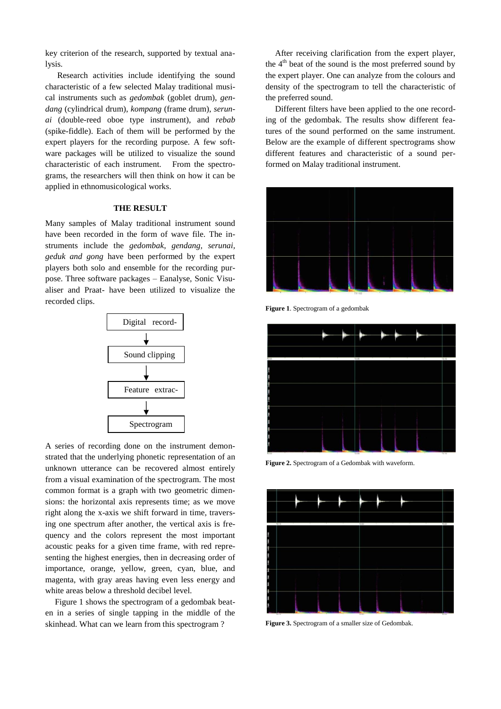key criterion of the research, supported by textual analysis.

Research activities include identifying the sound characteristic of a few selected Malay traditional musical instruments such as *gedombak* (goblet drum), *gendang* (cylindrical drum), *kompang* (frame drum), *serunai* (double-reed oboe type instrument), and *rebab* (spike-fiddle). Each of them will be performed by the expert players for the recording purpose. A few software packages will be utilized to visualize the sound characteristic of each instrument. From the spectrograms, the researchers will then think on how it can be applied in ethnomusicological works.

# **THE RESULT**

Many samples of Malay traditional instrument sound have been recorded in the form of wave file. The instruments include the *gedombak*, *gendang, serunai, geduk and gong* have been performed by the expert players both solo and ensemble for the recording purpose. Three software packages – Eanalyse, Sonic Visualiser and Praat- have been utilized to visualize the recorded clips.



A series of recording done on the instrument demonstrated that the underlying phonetic representation of an unknown utterance can be recovered almost entirely from a visual examination of the spectrogram. The most common format is a graph with two geometric dimensions: the horizontal axis represents time; as we move right along the x-axis we shift forward in time, traversing one spectrum after another, the vertical axis is frequency and the colors represent the most important acoustic peaks for a given time frame, with red representing the highest energies, then in decreasing order of importance, orange, yellow, green, cyan, blue, and magenta, with gray areas having even less energy and white areas below a threshold decibel level.

Figure 1 shows the spectrogram of a gedombak beaten in a series of single tapping in the middle of the skinhead. What can we learn from this spectrogram ?

After receiving clarification from the expert player, the  $4<sup>th</sup>$  beat of the sound is the most preferred sound by the expert player. One can analyze from the colours and density of the spectrogram to tell the characteristic of the preferred sound.

Different filters have been applied to the one recording of the gedombak. The results show different features of the sound performed on the same instrument. Below are the example of different spectrograms show different features and characteristic of a sound performed on Malay traditional instrument.



**Figure 1**. Spectrogram of a gedombak



**Figure 2.** Spectrogram of a Gedombak with waveform.



**Figure 3.** Spectrogram of a smaller size of Gedombak.